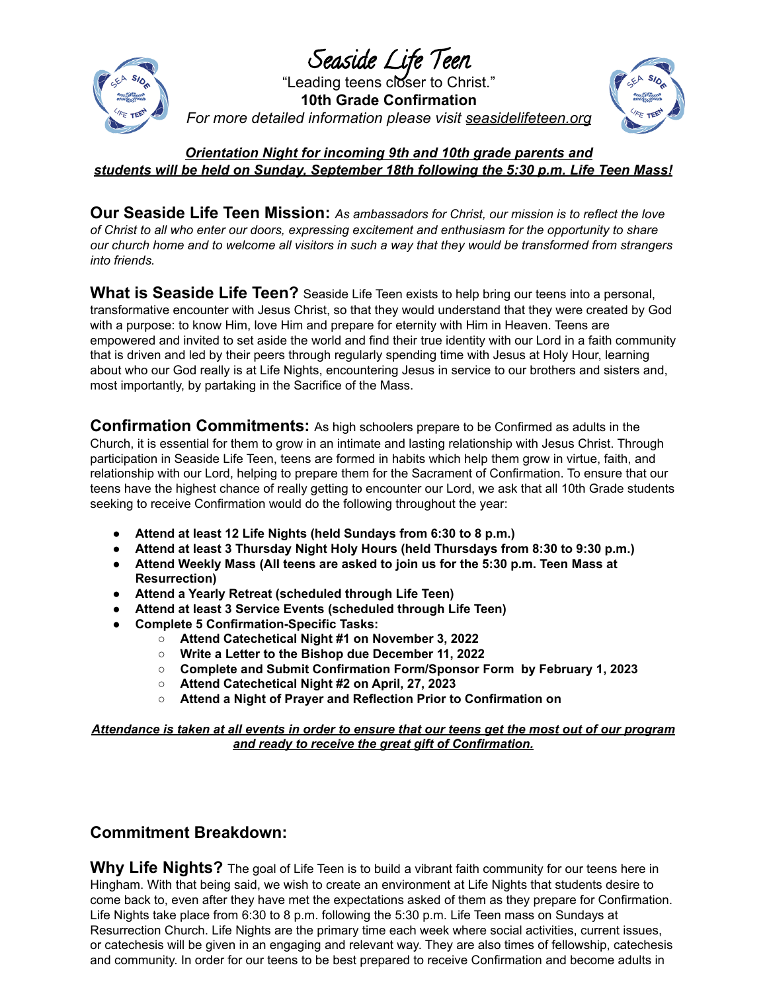

Seaside Life Teen "Leading teens closer to Christ." **10th Grade Confirmation** *For more detailed information please visit seasidelifeteen.org*



## *Orientation Night for incoming 9th and 10th grade parents and students will be held on Sunday, September 18th following the 5:30 p.m. Life Teen Mass!*

**Our Seaside Life Teen Mission:** *As ambassadors for Christ, our mission is to reflect the love of Christ to all who enter our doors, expressing excitement and enthusiasm for the opportunity to share* our church home and to welcome all visitors in such a way that they would be transformed from strangers *into friends.*

**What is Seaside Life Teen?** Seaside Life Teen exists to help bring our teens into a personal, transformative encounter with Jesus Christ, so that they would understand that they were created by God with a purpose: to know Him, love Him and prepare for eternity with Him in Heaven. Teens are empowered and invited to set aside the world and find their true identity with our Lord in a faith community that is driven and led by their peers through regularly spending time with Jesus at Holy Hour, learning about who our God really is at Life Nights, encountering Jesus in service to our brothers and sisters and, most importantly, by partaking in the Sacrifice of the Mass.

**Confirmation Commitments:** As high schoolers prepare to be Confirmed as adults in the Church, it is essential for them to grow in an intimate and lasting relationship with Jesus Christ. Through participation in Seaside Life Teen, teens are formed in habits which help them grow in virtue, faith, and relationship with our Lord, helping to prepare them for the Sacrament of Confirmation. To ensure that our teens have the highest chance of really getting to encounter our Lord, we ask that all 10th Grade students seeking to receive Confirmation would do the following throughout the year:

- **Attend at least 12 Life Nights (held Sundays from 6:30 to 8 p.m.)**
- **Attend at least 3 Thursday Night Holy Hours (held Thursdays from 8:30 to 9:30 p.m.)**
- **Attend Weekly Mass (All teens are asked to join us for the 5:30 p.m. Teen Mass at Resurrection)**
- **Attend a Yearly Retreat (scheduled through Life Teen)**
- **Attend at least 3 Service Events (scheduled through Life Teen)**
- **● Complete 5 Confirmation-Specific Tasks:**
	- **○ Attend Catechetical Night #1 on November 3, 2022**
	- **○ Write a Letter to the Bishop due December 11, 2022**
	- **○ Complete and Submit Confirmation Form/Sponsor Form by February 1, 2023**
	- **○ Attend Catechetical Night #2 on April, 27, 2023**
	- **○ Attend a Night of Prayer and Reflection Prior to Confirmation on**

Attendance is taken at all events in order to ensure that our teens get the most out of our program *and ready to receive the great gift of Confirmation.*

## **Commitment Breakdown:**

**Why Life Nights?** The goal of Life Teen is to build a vibrant faith community for our teens here in Hingham. With that being said, we wish to create an environment at Life Nights that students desire to come back to, even after they have met the expectations asked of them as they prepare for Confirmation. Life Nights take place from 6:30 to 8 p.m. following the 5:30 p.m. Life Teen mass on Sundays at Resurrection Church. Life Nights are the primary time each week where social activities, current issues, or catechesis will be given in an engaging and relevant way. They are also times of fellowship, catechesis and community. In order for our teens to be best prepared to receive Confirmation and become adults in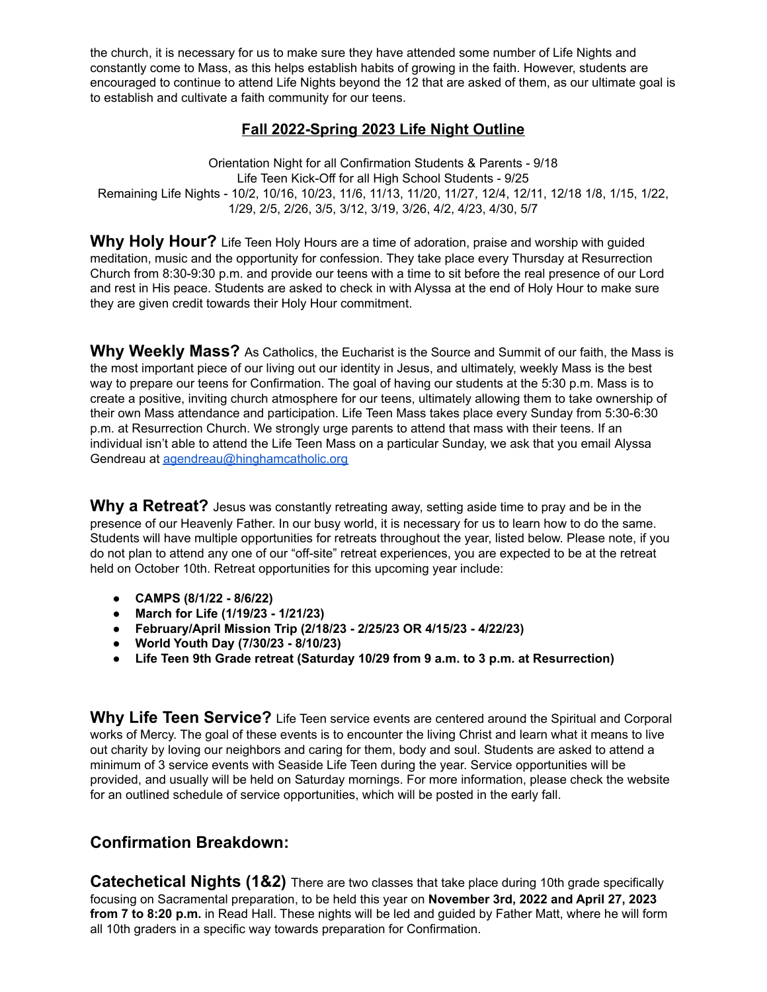the church, it is necessary for us to make sure they have attended some number of Life Nights and constantly come to Mass, as this helps establish habits of growing in the faith. However, students are encouraged to continue to attend Life Nights beyond the 12 that are asked of them, as our ultimate goal is to establish and cultivate a faith community for our teens.

## **Fall 2022-Spring 2023 Life Night Outline**

Orientation Night for all Confirmation Students & Parents - 9/18 Life Teen Kick-Off for all High School Students - 9/25 Remaining Life Nights - 10/2, 10/16, 10/23, 11/6, 11/13, 11/20, 11/27, 12/4, 12/11, 12/18 1/8, 1/15, 1/22, 1/29, 2/5, 2/26, 3/5, 3/12, 3/19, 3/26, 4/2, 4/23, 4/30, 5/7

**Why Holy Hour?** Life Teen Holy Hours are a time of adoration, praise and worship with guided meditation, music and the opportunity for confession. They take place every Thursday at Resurrection Church from 8:30-9:30 p.m. and provide our teens with a time to sit before the real presence of our Lord and rest in His peace. Students are asked to check in with Alyssa at the end of Holy Hour to make sure they are given credit towards their Holy Hour commitment.

**Why Weekly Mass?** As Catholics, the Eucharist is the Source and Summit of our faith, the Mass is the most important piece of our living out our identity in Jesus, and ultimately, weekly Mass is the best way to prepare our teens for Confirmation. The goal of having our students at the 5:30 p.m. Mass is to create a positive, inviting church atmosphere for our teens, ultimately allowing them to take ownership of their own Mass attendance and participation. Life Teen Mass takes place every Sunday from 5:30-6:30 p.m. at Resurrection Church. We strongly urge parents to attend that mass with their teens. If an individual isn't able to attend the Life Teen Mass on a particular Sunday, we ask that you email Alyssa Gendreau at [agendreau@hinghamcatholic.org](mailto:agendreau@hinghamcatholic.org)

**Why a Retreat?** Jesus was constantly retreating away, setting aside time to pray and be in the presence of our Heavenly Father. In our busy world, it is necessary for us to learn how to do the same. Students will have multiple opportunities for retreats throughout the year, listed below. Please note, if you do not plan to attend any one of our "off-site" retreat experiences, you are expected to be at the retreat held on October 10th. Retreat opportunities for this upcoming year include:

- **● CAMPS (8/1/22 - 8/6/22)**
- **● March for Life (1/19/23 - 1/21/23)**
- **● February/April Mission Trip (2/18/23 - 2/25/23 OR 4/15/23 - 4/22/23)**
- **● World Youth Day (7/30/23 - 8/10/23)**
- **● Life Teen 9th Grade retreat (Saturday 10/29 from 9 a.m. to 3 p.m. at Resurrection)**

**Why Life Teen Service?** Life Teen service events are centered around the Spiritual and Corporal works of Mercy. The goal of these events is to encounter the living Christ and learn what it means to live out charity by loving our neighbors and caring for them, body and soul. Students are asked to attend a minimum of 3 service events with Seaside Life Teen during the year. Service opportunities will be provided, and usually will be held on Saturday mornings. For more information, please check the website for an outlined schedule of service opportunities, which will be posted in the early fall.

## **Confirmation Breakdown:**

**Catechetical Nights (1&2)** There are two classes that take place during 10th grade specifically focusing on Sacramental preparation, to be held this year on **November 3rd, 2022 and April 27, 2023 from 7 to 8:20 p.m.** in Read Hall. These nights will be led and guided by Father Matt, where he will form all 10th graders in a specific way towards preparation for Confirmation.